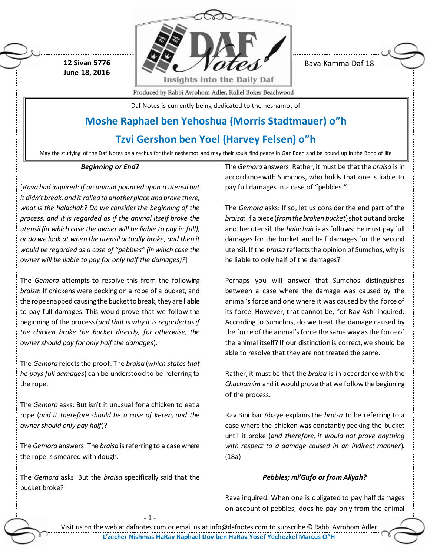**12 Sivan 5776 June 18, 2016**



Bava Kamma Daf 18

Produced by Rabbi Avrohom Adler, Kollel Boker Beachwood

Daf Notes is currently being dedicated to the neshamot of

# **Moshe Raphael ben Yehoshua (Morris Stadtmauer) o"h**

# **Tzvi Gershon ben Yoel (Harvey Felsen) o"h**

May the studying of the Daf Notes be a zechus for their neshamot and may their souls find peace in Gan Eden and be bound up in the Bond of life

#### *Beginning or End?*

[*Rava had inquired: If an animal pounced upon a utensil but it didn't break, and it rolled to another place and broke there, what is the halachah? Do we consider the beginning of the process, and it is regarded as if the animal itself broke the utensil (in which case the owner will be liable to pay in full), or do we look at when the utensil actually broke, and then it would be regarded as a case of "pebbles" (in which case the owner will be liable to pay for only half the damages)?*]

The *Gemora* attempts to resolve this from the following *braisa*: If chickens were pecking on a rope of a bucket, and the rope snapped causing the bucket to break, they are liable to pay full damages. This would prove that we follow the beginning of the process (*and that is why it is regarded as if the chicken broke the bucket directly, for otherwise, the owner should pay for only half the damages*).

The *Gemora* rejects the proof: The *braisa* (*which states that he pays full damages*) can be understood to be referring to the rope.

The *Gemora* asks: But isn't it unusual for a chicken to eat a rope (*and it therefore should be a case of keren, and the owner should only pay half*)?

The *Gemora* answers: The *braisa* is referring to a case where the rope is smeared with dough.

The *Gemora* asks: But the *braisa* specifically said that the bucket broke?

- 1 -

The *Gemora* answers: Rather, it must be that the *braisa* is in accordance with Sumchos, who holds that one is liable to pay full damages in a case of "pebbles."

The *Gemora* asks: If so, let us consider the end part of the *braisa*: If a piece (*from the broken bucket*) shot out and broke another utensil, the *halachah* is as follows: He must pay full damages for the bucket and half damages for the second utensil. If the *braisa* reflects the opinion of Sumchos, why is he liable to only half of the damages?

Perhaps you will answer that Sumchos distinguishes between a case where the damage was caused by the animal's force and one where it was caused by the force of its force. However, that cannot be, for Rav Ashi inquired: According to Sumchos, do we treat the damage caused by the force of the animal's force the same way as the force of the animal itself? If our distinction is correct, we should be able to resolve that they are not treated the same.

Rather, it must be that the *braisa* is in accordance with the *Chachamim* and it would prove that we follow the beginning of the process.

Rav Bibi bar Abaye explains the *braisa* to be referring to a case where the chicken was constantly pecking the bucket until it broke (*and therefore, it would not prove anything with respect to a damage caused in an indirect manner*). (18a)

## *Pebbles; mi'Gufo or from Aliyah?*

Rava inquired: When one is obligated to pay half damages on account of pebbles, does he pay only from the animal

Visit us on the web at dafnotes.com or email us at [info@dafnotes.com](mailto:info@dafnotes.com) to subscribe © Rabbi Avrohom Adler **L'zecher Nishmas HaRav Raphael Dov ben HaRav Yosef Yechezkel Marcus O"H**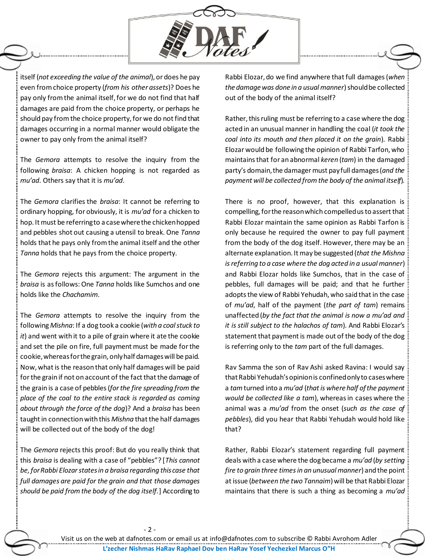

itself (*not exceeding the value of the animal*), or does he pay even from choice property (*from his other assets*)? Does he pay only from the animal itself, for we do not find that half damages are paid from the choice property, or perhaps he should pay from the choice property, for we do not find that damages occurring in a normal manner would obligate the owner to pay only from the animal itself?

The *Gemora* attempts to resolve the inquiry from the following *braisa*: A chicken hopping is not regarded as *mu'ad*. Others say that it is *mu'ad*.

The *Gemora* clarifies the *braisa*: It cannot be referring to ordinary hopping, for obviously, it is *mu'ad* for a chicken to hop. It must be referring to a case where the chicken hopped and pebbles shot out causing a utensil to break. One *Tanna* holds that he pays only from the animal itself and the other *Tanna* holds that he pays from the choice property.

The *Gemora* rejects this argument: The argument in the *braisa* is as follows: One *Tanna* holds like Sumchos and one holds like the *Chachamim*.

The *Gemora* attempts to resolve the inquiry from the following *Mishna*: If a dog took a cookie (*with a coal stuck to it*) and went with it to a pile of grain where it ate the cookie and set the pile on fire, full payment must be made for the cookie, whereas for the grain, only half damages will be paid. Now, what is the reason that only half damages will be paid for the grain if not on account of the fact that the damage of the grain is a case of pebbles (*for the fire spreading from the place of the coal to the entire stack is regarded as coming about through the force of the dog*)? And a *braisa* has been taught in connection with this *Mishna* that the half damages will be collected out of the body of the dog!

The *Gemora* rejects this proof: But do you really think that this *braisa* is dealing with a case of "pebbles"? [*This cannot be, for Rabbi Elozar states in a braisa regarding this case that full damages are paid for the grain and that those damages should be paid from the body of the dog itself.*] According to

 $-2 -$ 

Rabbi Elozar, do we find anywhere that full damages (*when the damage was done in a usual manner*) should be collected out of the body of the animal itself?

Rather, this ruling must be referring to a case where the dog acted in an unusual manner in handling the coal (*it took the coal into its mouth and then placed it on the grain*). Rabbi Elozar would be following the opinion of Rabbi Tarfon, who maintains that for an abnormal *keren* (*tam*) in the damaged party's domain, the damager must pay full damages (*and the payment will be collected from the body of the animal itself*).

There is no proof, however, that this explanation is compelling, for the reason which compelled us to assert that Rabbi Elozar maintain the same opinion as Rabbi Tarfon is only because he required the owner to pay full payment from the body of the dog itself. However, there may be an alternate explanation. It may be suggested (*that the Mishna is referring to a case where the dog acted in a usual manner*) and Rabbi Elozar holds like Sumchos, that in the case of pebbles, full damages will be paid; and that he further adopts the view of Rabbi Yehudah, who said that in the case of *mu'ad*, half of the payment (*the part of tam*) remains unaffected (*by the fact that the animal is now a mu'ad and it is still subject to the halachos of tam*). And Rabbi Elozar's statement that payment is made out of the body of the dog is referring only to the *tam* part of the full damages.

Rav Samma the son of Rav Ashi asked Ravina: I would say that Rabbi Yehudah's opinion is confined only to cases where a *tam*turned into a *mu'ad* (*that is where half of the payment would be collected like a tam*), whereas in cases where the animal was a *mu'ad* from the onset (*such as the case of pebbles*), did you hear that Rabbi Yehudah would hold like that?

Rather, Rabbi Elozar's statement regarding full payment deals with a case where the dog became a *mu'ad* (*by setting fire to grain three times in an unusual manner*) and the point at issue (*between the two Tannaim*) will be that Rabbi Elozar maintains that there is such a thing as becoming a *mu'ad*

Visit us on the web at dafnotes.com or email us at [info@dafnotes.com](mailto:info@dafnotes.com) to subscribe © Rabbi Avrohom Adler **L'zecher Nishmas HaRav Raphael Dov ben HaRav Yosef Yechezkel Marcus O"H**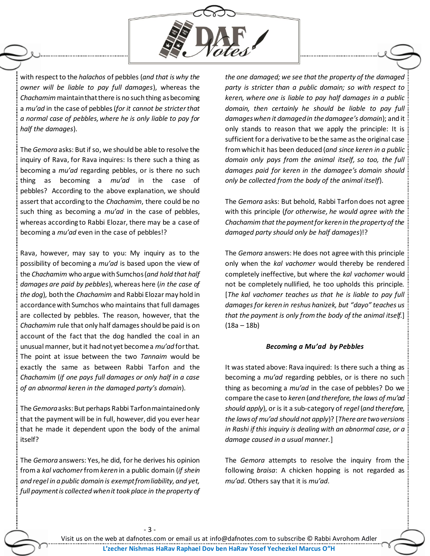

with respect to the *halachos* of pebbles (*and that is why the owner will be liable to pay full damages*), whereas the *Chachamim*maintain that there is no such thing as becoming a *mu'ad* in the case of pebbles (*for it cannot be stricter that a normal case of pebbles, where he is only liable to pay for half the damages*).

The *Gemora* asks: But if so, we should be able to resolve the inquiry of Rava, for Rava inquires: Is there such a thing as becoming a *mu'ad* regarding pebbles, or is there no such thing as becoming a *mu'ad* in the case of pebbles? According to the above explanation, we should assert that according to the *Chachamim*, there could be no such thing as becoming a *mu'ad* in the case of pebbles, whereas according to Rabbi Elozar, there may be a case of becoming a *mu'ad* even in the case of pebbles!?

Rava, however, may say to you: My inquiry as to the possibility of becoming a *mu'ad* is based upon the view of the *Chachamim* who argue with Sumchos (*and hold that half damages are paid by pebbles*), whereas here (*in the case of the dog*), both the *Chachamim* and Rabbi Elozar may hold in accordance with Sumchos who maintains that full damages are collected by pebbles. The reason, however, that the *Chachamim* rule that only half damages should be paid is on account of the fact that the dog handled the coal in an unusual manner, but it had not yet become a *mu'ad* for that. The point at issue between the two *Tannaim* would be exactly the same as between Rabbi Tarfon and the *Chachamim* (*if one pays full damages or only half in a case of an abnormal keren in the damaged party's domain*).

The *Gemora*asks: But perhaps Rabbi Tarfon maintained only that the payment will be in full, however, did you ever hear that he made it dependent upon the body of the animal itself?

The *Gemora* answers: Yes, he did, for he derives his opinion from a *kal vachomer*from *keren* in a public domain (*if shein and regel in a public domain is exempt from liability, and yet, full payment is collected when it took place in the property of*  *the one damaged; we see that the property of the damaged party is stricter than a public domain; so with respect to keren, where one is liable to pay half damages in a public domain, then certainly he should be liable to pay full damages when it damaged in the damagee's domain*); and it only stands to reason that we apply the principle: It is sufficient for a derivative to be the same as the original case from which it has been deduced (*and since keren in a public domain only pays from the animal itself, so too, the full damages paid for keren in the damagee's domain should only be collected from the body of the animal itself*).

The *Gemora* asks: But behold, Rabbi Tarfon does not agree with this principle (*for otherwise, he would agree with the Chachamim that the payment for keren in the property of the damaged party should only be half damages*)!?

The *Gemora* answers: He does not agree with this principle only when the *kal vachomer* would thereby be rendered completely ineffective, but where the *kal vachomer* would not be completely nullified, he too upholds this principle. [*The kal vachomer teaches us that he is liable to pay full damages for keren in reshus hanizek, but "dayo" teaches us that the payment is only from the body of the animal itself.*] (18a – 18b)

#### *Becoming a Mu'ad by Pebbles*

It was stated above: Rava inquired: Is there such a thing as becoming a *mu'ad* regarding pebbles, or is there no such thing as becoming a *mu'ad* in the case of pebbles? Do we compare the case to *keren* (*and therefore, the laws of mu'ad should apply*), or is it a sub-category of *regel* (*and therefore, the laws of mu'ad should not apply*)? [*There are two versions in Rashi if this inquiry is dealing with an abnormal case, or a damage caused in a usual manner.*]

The *Gemora* attempts to resolve the inquiry from the following *braisa*: A chicken hopping is not regarded as *mu'ad*. Others say that it is *mu'ad*.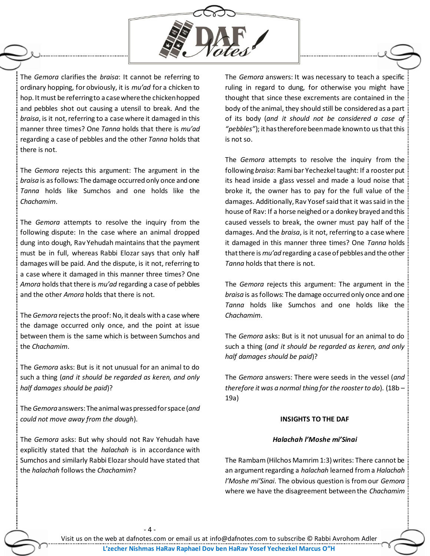

The *Gemora* clarifies the *braisa*: It cannot be referring to ordinary hopping, for obviously, it is *mu'ad* for a chicken to hop. It must be referring to a case where the chicken hopped and pebbles shot out causing a utensil to break. And the *braisa*, is it not, referring to a case where it damaged in this manner three times? One *Tanna* holds that there is *mu'ad* regarding a case of pebbles and the other *Tanna* holds that there is not.

The *Gemora* rejects this argument: The argument in the *braisa* is as follows: The damage occurred only once and one *Tanna* holds like Sumchos and one holds like the *Chachamim*.

The *Gemora* attempts to resolve the inquiry from the following dispute: In the case where an animal dropped dung into dough, Rav Yehudah maintains that the payment must be in full, whereas Rabbi Elozar says that only half damages will be paid. And the dispute, is it not, referring to a case where it damaged in this manner three times? One *Amora* holds that there is *mu'ad* regarding a case of pebbles and the other *Amora* holds that there is not.

The *Gemora* rejects the proof: No, it deals with a case where the damage occurred only once, and the point at issue between them is the same which is between Sumchos and the *Chachamim*.

The *Gemora* asks: But is it not unusual for an animal to do such a thing (*and it should be regarded as keren, and only half damages should be paid*)?

The *Gemora*answers: The animal was pressed for space (*and could not move away from the dough*).

The *Gemora* asks: But why should not Rav Yehudah have explicitly stated that the *halachah* is in accordance with Sumchos and similarly Rabbi Elozar should have stated that the *halachah* follows the *Chachamim*?

The *Gemora* answers: It was necessary to teach a specific ruling in regard to dung, for otherwise you might have thought that since these excrements are contained in the body of the animal, they should still be considered as a part of its body (*and it should not be considered a case of "pebbles"*); it has therefore been made known to us that this is not so.

The *Gemora* attempts to resolve the inquiry from the following *braisa*: Rami bar Yechezkel taught: If a rooster put its head inside a glass vessel and made a loud noise that broke it, the owner has to pay for the full value of the damages. Additionally, Rav Yosef said that it was said in the house of Rav: If a horse neighed or a donkey brayed and this caused vessels to break, the owner must pay half of the damages. And the *braisa*, is it not, referring to a case where it damaged in this manner three times? One *Tanna* holds that there is *mu'ad* regarding a case of pebbles and the other *Tanna* holds that there is not.

The *Gemora* rejects this argument: The argument in the *braisa* is as follows: The damage occurred only once and one *Tanna* holds like Sumchos and one holds like the *Chachamim*.

The *Gemora* asks: But is it not unusual for an animal to do such a thing (*and it should be regarded as keren, and only half damages should be paid*)?

The *Gemora* answers: There were seeds in the vessel (*and therefore it was a normal thing for the rooster to do*). (18b – 19a)

#### **INSIGHTS TO THE DAF**

#### *Halachah l'Moshe mi'Sinai*

The Rambam (Hilchos Mamrim 1:3) writes: There cannot be an argument regarding a *halachah* learned from a *Halachah l'Moshe mi'Sinai*. The obvious question is from our *Gemora* where we have the disagreement between the *Chachamim*